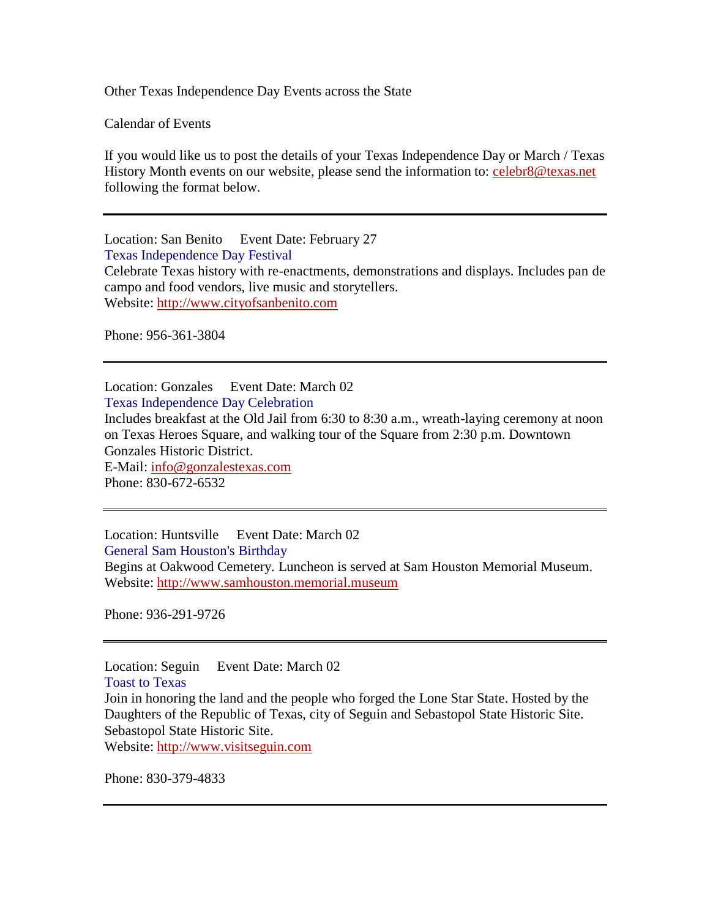Other Texas Independence Day Events across the State

Calendar of Events

If you would like us to post the details of your Texas Independence Day or March / Texas History Month events on our website, please send the information to: [celebr8@texas.net](mailto:celebr8@texas.net)  following the format below.

Location: San Benito Event Date: February 27 Texas Independence Day Festival Celebrate Texas history with re-enactments, demonstrations and displays. Includes pan de campo and food vendors, live music and storytellers. Website: [http://www.cityofsanbenito.com](http://www.cityofsanbenito.com/)

Phone: 956-361-3804

Location: Gonzales Event Date: March 02 Texas Independence Day Celebration Includes breakfast at the Old Jail from 6:30 to 8:30 a.m., wreath-laying ceremony at noon on Texas Heroes Square, and walking tour of the Square from 2:30 p.m. Downtown Gonzales Historic District. E-Mail: [info@gonzalestexas.com](mailto:info@gonzalestexas.com) Phone: 830-672-6532

Location: Huntsville Event Date: March 02 General Sam Houston's Birthday Begins at Oakwood Cemetery. Luncheon is served at Sam Houston Memorial Museum. Website: [http://www.samhouston.memorial.museum](http://www.samhouston.memorial.museum/)

Phone: 936-291-9726

Location: Seguin Event Date: March 02 Toast to Texas Join in honoring the land and the people who forged the Lone Star State. Hosted by the Daughters of the Republic of Texas, city of Seguin and Sebastopol State Historic Site. Sebastopol State Historic Site.

Website: [http://www.visitseguin.com](http://www.visitseguin.com/)

Phone: 830-379-4833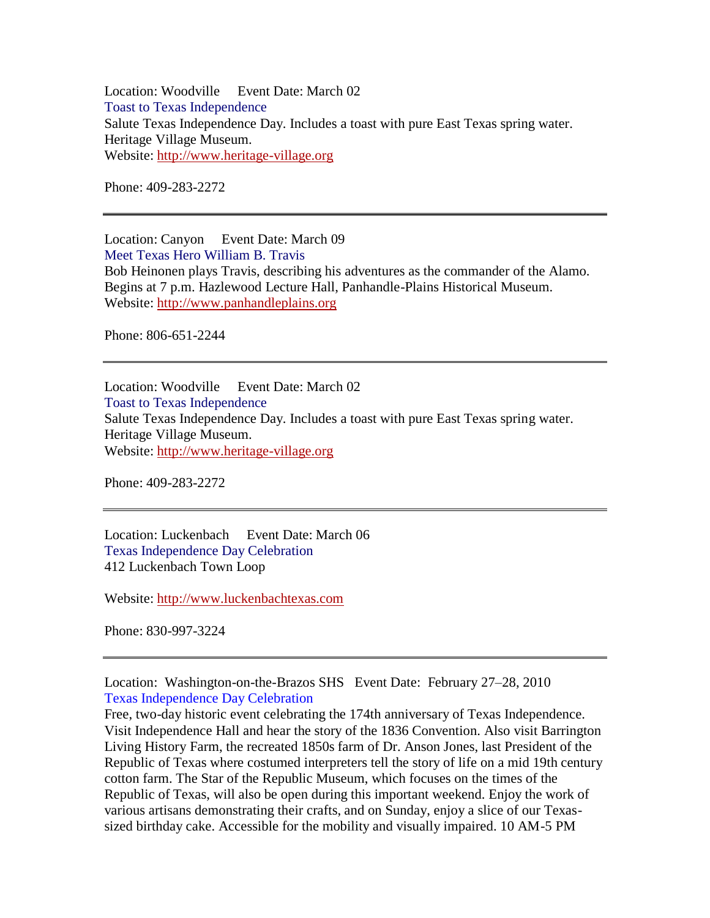Location: Woodville Event Date: March 02 Toast to Texas Independence Salute Texas Independence Day. Includes a toast with pure East Texas spring water. Heritage Village Museum. Website: [http://www.heritage-village.org](http://www.heritage-village.org/)

Phone: 409-283-2272

Location: Canyon Event Date: March 09 Meet Texas Hero William B. Travis Bob Heinonen plays Travis, describing his adventures as the commander of the Alamo. Begins at 7 p.m. Hazlewood Lecture Hall, Panhandle-Plains Historical Museum. Website: [http://www.panhandleplains.org](http://www.panhandleplains.org/)

Phone: 806-651-2244

Location: Woodville Event Date: March 02 Toast to Texas Independence Salute Texas Independence Day. Includes a toast with pure East Texas spring water. Heritage Village Museum. Website: [http://www.heritage-village.org](http://www.heritage-village.org/)

Phone: 409-283-2272

Location: Luckenbach Event Date: March 06 Texas Independence Day Celebration 412 Luckenbach Town Loop

Website: [http://www.luckenbachtexas.com](http://www.luckenbachtexas.com/)

Phone: 830-997-3224

Location: Washington-on-the-Brazos SHS Event Date: February 27–28, 2010 Texas Independence Day Celebration

Free, two-day historic event celebrating the 174th anniversary of Texas Independence. Visit Independence Hall and hear the story of the 1836 Convention. Also visit Barrington Living History Farm, the recreated 1850s farm of Dr. Anson Jones, last President of the Republic of Texas where costumed interpreters tell the story of life on a mid 19th century cotton farm. The Star of the Republic Museum, which focuses on the times of the Republic of Texas, will also be open during this important weekend. Enjoy the work of various artisans demonstrating their crafts, and on Sunday, enjoy a slice of our Texassized birthday cake. Accessible for the mobility and visually impaired. 10 AM-5 PM